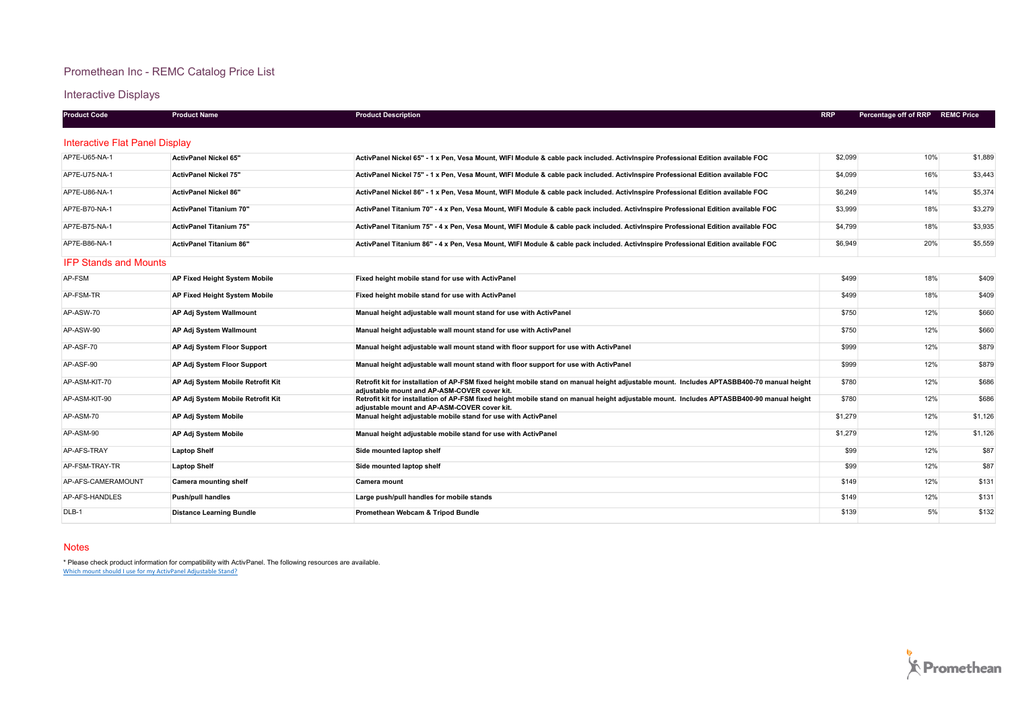# Promethean Inc - REMC Catalog Price List

Interactive Displays

| <b>Product Code</b>            | <b>Product Name</b>                  | <b>Product Description</b>                                                                                                                                                                | <b>RRP</b> | Percentage off of RRP | <b>REMC Price</b> |
|--------------------------------|--------------------------------------|-------------------------------------------------------------------------------------------------------------------------------------------------------------------------------------------|------------|-----------------------|-------------------|
| Interactive Flat Panel Display |                                      |                                                                                                                                                                                           |            |                       |                   |
| AP7E-U65-NA-1                  | <b>ActivPanel Nickel 65"</b>         | ActivPanel Nickel 65" - 1 x Pen, Vesa Mount, WIFI Module & cable pack included. ActivInspire Professional Edition available FOC                                                           | \$2,099    | 10%                   | \$1,889           |
| AP7E-U75-NA-1                  | <b>ActivPanel Nickel 75"</b>         | ActivPanel Nickel 75" - 1 x Pen, Vesa Mount, WIFI Module & cable pack included. ActivInspire Professional Edition available FOC                                                           | \$4,099    | 16%                   | \$3.443           |
| AP7E-U86-NA-1                  | <b>ActivPanel Nickel 86"</b>         | ActivPanel Nickel 86" - 1 x Pen, Vesa Mount, WIFI Module & cable pack included. ActivInspire Professional Edition available FOC                                                           | \$6,249    | 14%                   | \$5,374           |
| AP7E-B70-NA-1                  | <b>ActivPanel Titanium 70"</b>       | ActivPanel Titanium 70" - 4 x Pen, Vesa Mount, WIFI Module & cable pack included. ActivInspire Professional Edition available FOC                                                         | \$3,999    | 18%                   | \$3,279           |
| AP7E-B75-NA-1                  | <b>ActivPanel Titanium 75"</b>       | ActivPanel Titanium 75" - 4 x Pen, Vesa Mount, WIFI Module & cable pack included. ActivInspire Professional Edition available FOC                                                         | \$4,799    | 18%                   | \$3.935           |
| AP7E-B86-NA-1                  | <b>ActivPanel Titanium 86"</b>       | ActivPanel Titanium 86" - 4 x Pen, Vesa Mount, WIFI Module & cable pack included. ActivInspire Professional Edition available FOC                                                         | \$6,949    | 20%                   | \$5,559           |
| <b>IFP Stands and Mounts</b>   |                                      |                                                                                                                                                                                           |            |                       |                   |
| AP-FSM                         | <b>AP Fixed Height System Mobile</b> | Fixed height mobile stand for use with ActivPanel                                                                                                                                         | \$499      | 18%                   | \$409             |
| AP-FSM-TR                      | <b>AP Fixed Height System Mobile</b> | Fixed height mobile stand for use with ActivPanel                                                                                                                                         | \$499      | 18%                   | \$409             |
| AP-ASW-70                      | AP Adj System Wallmount              | Manual height adjustable wall mount stand for use with ActivPanel                                                                                                                         | \$750      | 12%                   | \$660             |
| AP-ASW-90                      | <b>AP Adj System Wallmount</b>       | Manual height adjustable wall mount stand for use with ActivPanel                                                                                                                         | \$750      | 12%                   | \$660             |
| AP-ASF-70                      | <b>AP Adj System Floor Support</b>   | Manual height adjustable wall mount stand with floor support for use with ActivPanel                                                                                                      | \$999      | 12%                   | \$879             |
| AP-ASF-90                      | AP Adj System Floor Support          | Manual height adjustable wall mount stand with floor support for use with ActivPanel                                                                                                      | \$999      | 12%                   | \$879             |
| AP-ASM-KIT-70                  | AP Adj System Mobile Retrofit Kit    | Retrofit kit for installation of AP-FSM fixed height mobile stand on manual height adjustable mount. Includes APTASBB400-70 manual height                                                 | \$780      | 12%                   | \$686             |
| AP-ASM-KIT-90                  | AP Adj System Mobile Retrofit Kit    | adiustable mount and AP-ASM-COVER cover kit.<br>Retrofit kit for installation of AP-FSM fixed height mobile stand on manual height adjustable mount. Includes APTASBB400-90 manual height | \$780      | 12%                   | \$686             |
| AP-ASM-70                      | AP Adj System Mobile                 | adjustable mount and AP-ASM-COVER cover kit.<br>Manual height adjustable mobile stand for use with ActivPanel                                                                             | \$1,279    | 12%                   | \$1,126           |
| AP-ASM-90                      | AP Adj System Mobile                 | Manual height adjustable mobile stand for use with ActivPanel                                                                                                                             | \$1,279    | 12%                   | \$1,126           |
| AP-AFS-TRAY                    | <b>Laptop Shelf</b>                  | Side mounted laptop shelf                                                                                                                                                                 | \$99       | 12%                   | \$87              |
| AP-FSM-TRAY-TR                 | <b>Laptop Shelf</b>                  | Side mounted laptop shelf                                                                                                                                                                 | \$99       | 12%                   | \$87              |
| AP-AFS-CAMERAMOUNT             | <b>Camera mounting shelf</b>         | Camera mount                                                                                                                                                                              | \$149      | 12%                   | \$131             |
| AP-AFS-HANDLES                 | <b>Push/pull handles</b>             | Large push/pull handles for mobile stands                                                                                                                                                 | \$149      | 12%                   | \$131             |
| DLB-1                          | <b>Distance Learning Bundle</b>      | Promethean Webcam & Tripod Bundle                                                                                                                                                         | \$139      | 5%                    | \$132             |

#### Notes

\* Please check product information for compatibility with ActivPanel. The following resources are available.<br><u>Which mount should I use for my ActivPanel Adjustable Stand?</u>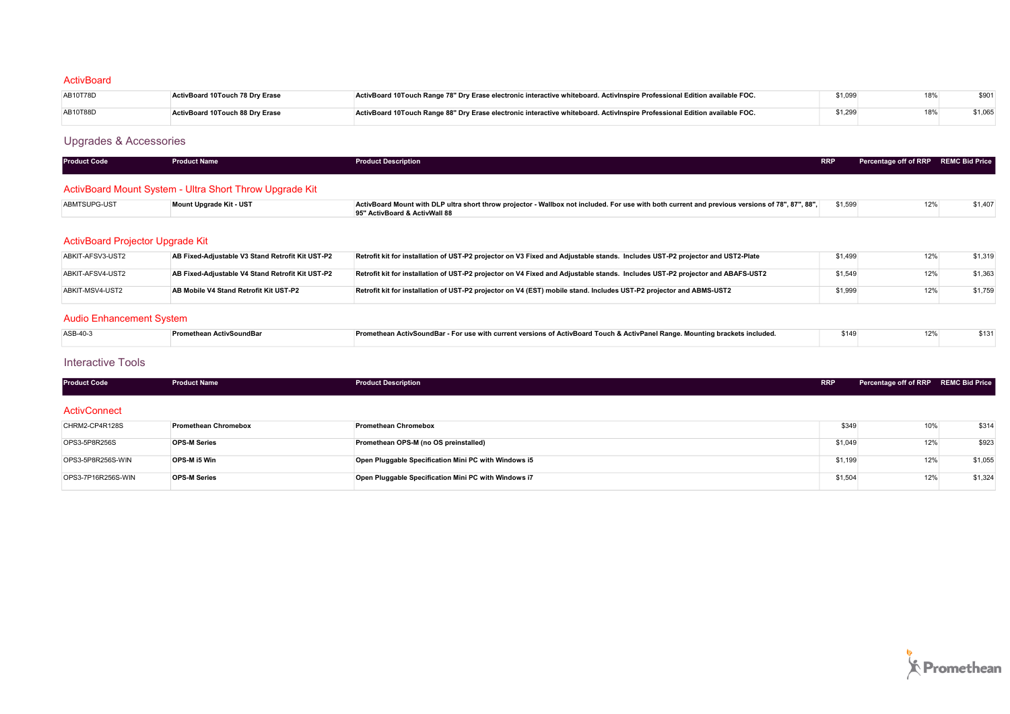### **ActivBoard**

| AB10T78D | <b>ActivBoard 10Touch 78 Drv Erase</b> | ActivBoard 10Touch Range 78" Dry Erase electronic interactive whiteboard. ActivInspire Professional Edition available FOC. |         | 18% | \$901 |
|----------|----------------------------------------|----------------------------------------------------------------------------------------------------------------------------|---------|-----|-------|
| AB10T88D | <b>ActivBoard 10Touch 88 Drv Erase</b> | ActivBoard 10Touch Range 88" Dry Erase electronic interactive whiteboard. ActivInspire Professional Edition available FOC. | \$1.299 | 18% |       |

# Upgrades & Accessories

| <b>Product Code</b> | <b>Product Name</b> | <b>Product Description</b> | <b>RRP</b> | Percentage off of RRP REMC Bid Price |  |
|---------------------|---------------------|----------------------------|------------|--------------------------------------|--|
|                     |                     |                            |            |                                      |  |

# ActivBoard Mount System - Ultra Short Throw Upgrade Kit

| ABMTSUPG-UST | Mount Upgrade Kit - UST | ActivBoard Mount with DLP ultra short throw projector - Wallbox not included. For use with both current and previous versions of 78", 87", 88", | \$1,599 | \$1.407 |
|--------------|-------------------------|-------------------------------------------------------------------------------------------------------------------------------------------------|---------|---------|
|              |                         | 95" ActivBoard & ActivWall 88                                                                                                                   |         |         |

# ActivBoard Projector Upgrade Kit

| ABKIT-AFSV3-UST2 | AB Fixed-Adiustable V3 Stand Retrofit Kit UST-P2 | Retrofit kit for installation of UST-P2 projector on V3 Fixed and Adjustable stands. Includes UST-P2 projector and UST2-Plate | \$1,499 | 12% | \$1.319 |
|------------------|--------------------------------------------------|-------------------------------------------------------------------------------------------------------------------------------|---------|-----|---------|
| ABKIT-AFSV4-UST2 | AB Fixed-Adiustable V4 Stand Retrofit Kit UST-P2 | Retrofit kit for installation of UST-P2 projector on V4 Fixed and Adjustable stands. Includes UST-P2 projector and ABAFS-UST2 | \$1,549 |     | \$1,363 |
| ABKIT-MSV4-UST2  | AB Mobile V4 Stand Retrofit Kit UST-P2           | Retrofit kit for installation of UST-P2 projector on V4 (EST) mobile stand. Includes UST-P2 projector and ABMS-UST2           | \$1,999 |     | \$1,759 |

# Audio Enhancement System

| ASB-40-3 | <b>Promethean ActivSoundBar</b> | Promethean ActivSoundBar - For use with current versions of ActivBoard Touch & ActivPanel Range. Mounting brackets included. | \$149 | \$131 |
|----------|---------------------------------|------------------------------------------------------------------------------------------------------------------------------|-------|-------|
|          |                                 |                                                                                                                              |       |       |

### Interactive Tools

| <b>Product Code</b> | <b>Product Name</b>         | <b>Product Description</b>                           | <b>RRP</b> | Percentage off of RRP REMC Bid Price |         |
|---------------------|-----------------------------|------------------------------------------------------|------------|--------------------------------------|---------|
| ActivConnect        |                             |                                                      |            |                                      |         |
| CHRM2-CP4R128S      | <b>Promethean Chromebox</b> | <b>Promethean Chromebox</b>                          | \$349      | 10%                                  | \$314   |
| OPS3-5P8R256S       | <b>OPS-M Series</b>         | Promethean OPS-M (no OS preinstalled)                | \$1,049    | 12%                                  | \$923   |
| OPS3-5P8R256S-WIN   | OPS-M i5 Win                | Open Pluggable Specification Mini PC with Windows i5 | \$1,199    | 12%                                  | \$1,055 |
| OPS3-7P16R256S-WIN  | <b>OPS-M Series</b>         | Open Pluggable Specification Mini PC with Windows i7 | \$1,504    | 12%                                  | \$1,324 |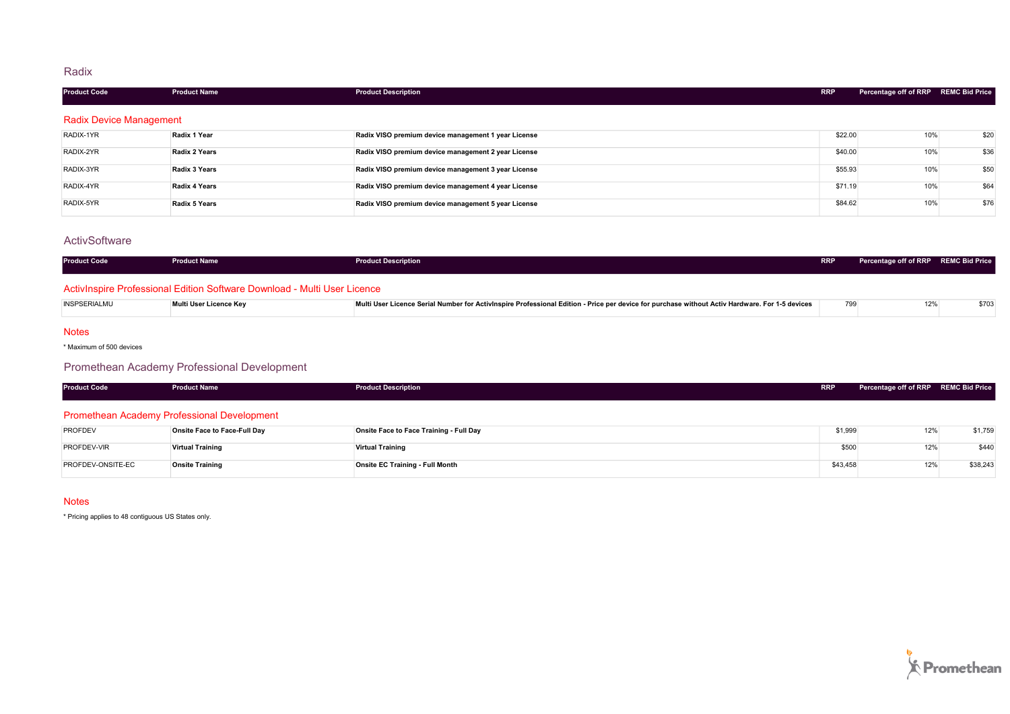### Radix

| <b>Product Code</b>            | <b>Product Name</b> | <b>Product Description</b>                          | <b>RRP</b> | Percentage off of RRP REMC Bid Price |      |
|--------------------------------|---------------------|-----------------------------------------------------|------------|--------------------------------------|------|
| <b>Radix Device Management</b> |                     |                                                     |            |                                      |      |
| RADIX-1YR                      | Radix 1 Year        | Radix VISO premium device management 1 year License | \$22.00    | 10%                                  | \$20 |
| RADIX-2YR                      | Radix 2 Years       | Radix VISO premium device management 2 year License | \$40.00    | 10%                                  | \$36 |
| RADIX-3YR                      | Radix 3 Years       | Radix VISO premium device management 3 year License | \$55.93    | 10%                                  | \$50 |
| RADIX-4YR                      | Radix 4 Years       | Radix VISO premium device management 4 year License | \$71.19    | 10%                                  | \$64 |
| RADIX-5YR                      | Radix 5 Years       | Radix VISO premium device management 5 year License | \$84.62    | 10%                                  | \$76 |

### **ActivSoftware**

| <b>Product Code</b> | <b>Product Name</b>                                                      | <b>Product Description</b>                                                                                                                     | <b>RRP</b> | Percentage off of RRP REMC Bid Price |       |
|---------------------|--------------------------------------------------------------------------|------------------------------------------------------------------------------------------------------------------------------------------------|------------|--------------------------------------|-------|
|                     | ActivInspire Professional Edition Software Download - Multi User Licence |                                                                                                                                                |            |                                      |       |
| <b>INSPSERIALMU</b> | Multi User Licence Key                                                   | Multi User Licence Serial Number for Activinspire Professional Edition - Price per device for purchase without Activ Hardware. For 1-5 devices | 799        | 12%                                  | \$703 |

#### Notes

\* Maximum of 500 devices

# Promethean Academy Professional Development

| <b>Product Code</b> | <b>Product Name</b>                                                                                                 | <b>Product Description</b>              | <b>RRP</b> | Percentage off of RRP REMC Bid Price |         |
|---------------------|---------------------------------------------------------------------------------------------------------------------|-----------------------------------------|------------|--------------------------------------|---------|
|                     | <b>Promethean Academy Professional Development</b>                                                                  |                                         |            |                                      |         |
| <b>PROFDEV</b>      | Onsite Face to Face-Full Day                                                                                        | Onsite Face to Face Training - Full Day | \$1,999    | 12%                                  | \$1,759 |
| ________            | and the contract of the contract of the contract of the contract of the contract of the contract of the contract of |                                         | .          | .                                    |         |

| PROFDEV-VIR       | <b>Virtual Training</b> | Virtual Training                | 0.500<br>⊍∪ບ | 101<br>$\sim$ | \$440    |
|-------------------|-------------------------|---------------------------------|--------------|---------------|----------|
| PROFDEV-ONSITE-EC | <b>Onsite Training</b>  | Onsite EC Training - Full Month | \$43,458     | 101           | \$38,243 |

#### **Notes**

\* Pricing applies to 48 contiguous US States only.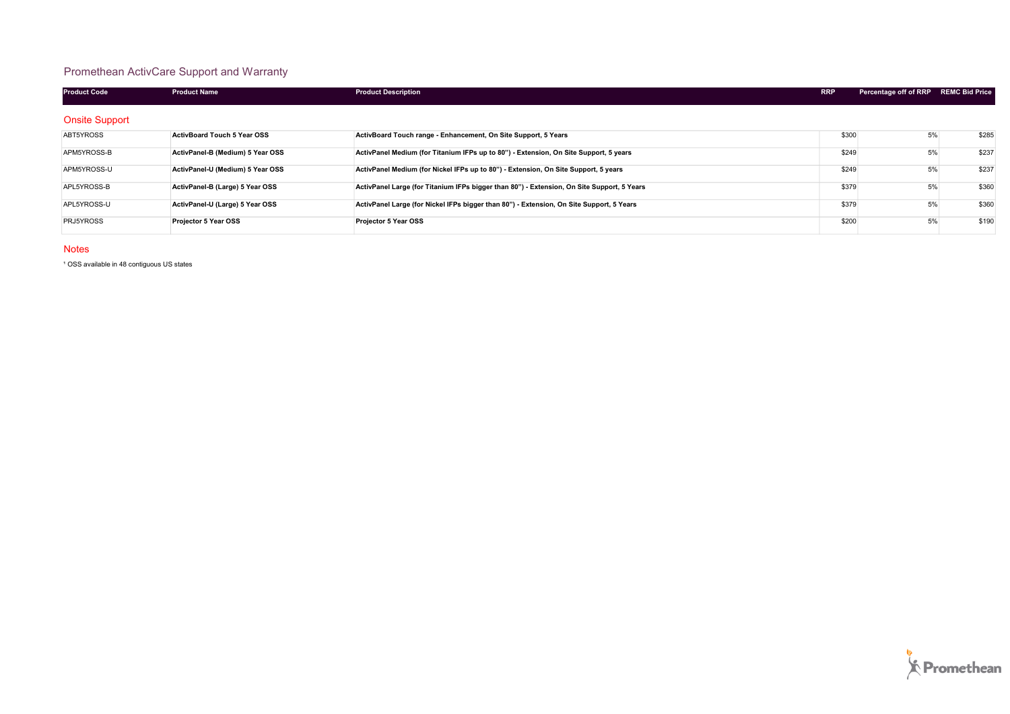# Promethean ActivCare Support and Warranty

| <b>Product Code</b>   | <b>Product Name</b>                | <b>Product Description</b>                                                                 | <b>RRP</b> | Percentage off of RRP REMC Bid Price |       |
|-----------------------|------------------------------------|--------------------------------------------------------------------------------------------|------------|--------------------------------------|-------|
| <b>Onsite Support</b> |                                    |                                                                                            |            |                                      |       |
| ABT5YROSS             | <b>ActivBoard Touch 5 Year OSS</b> | ActivBoard Touch range - Enhancement, On Site Support, 5 Years                             | \$300      | 5%                                   | \$285 |
| APM5YROSS-B           | ActivPanel-B (Medium) 5 Year OSS   | ActivPanel Medium (for Titanium IFPs up to 80") - Extension, On Site Support, 5 years      | \$249      | 5%                                   | \$237 |
| APM5YROSS-U           | ActivPanel-U (Medium) 5 Year OSS   | ActivPanel Medium (for Nickel IFPs up to 80") - Extension, On Site Support, 5 years        | \$249      | 5%                                   | \$237 |
| APL5YROSS-B           | ActivPanel-B (Large) 5 Year OSS    | ActivPanel Large (for Titanium IFPs bigger than 80") - Extension, On Site Support, 5 Years | \$379      | 5%                                   | \$360 |
| APL5YROSS-U           | ActivPanel-U (Large) 5 Year OSS    | ActivPanel Large (for Nickel IFPs bigger than 80") - Extension, On Site Support, 5 Years   | \$379      | 5%                                   | \$360 |
| PRJ5YROSS             | Projector 5 Year OSS               | <b>Projector 5 Year OSS</b>                                                                | \$200      | 5%                                   | \$190 |

#### Notes

<sup>1</sup> OSS available in 48 contiguous US states

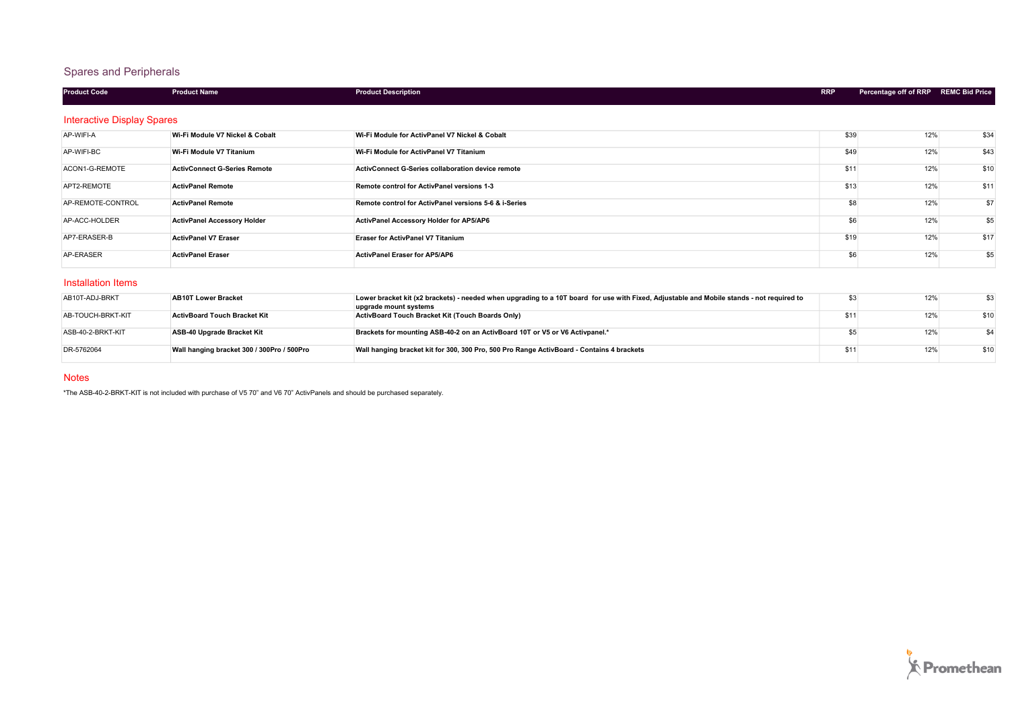# Spares and Peripherals

| <b>Product Code</b>               | <b>Product Name</b>                 | <b>Product Description</b>                                                                                                                                         | <b>RRP</b> | Percentage off of RRP REMC Bid Price |      |
|-----------------------------------|-------------------------------------|--------------------------------------------------------------------------------------------------------------------------------------------------------------------|------------|--------------------------------------|------|
| <b>Interactive Display Spares</b> |                                     |                                                                                                                                                                    |            |                                      |      |
| AP-WIFI-A                         | Wi-Fi Module V7 Nickel & Cobalt     | Wi-Fi Module for ActivPanel V7 Nickel & Cobalt                                                                                                                     | \$39       | 12%                                  | \$34 |
| AP-WIFI-BC                        | Wi-Fi Module V7 Titanium            | Wi-Fi Module for ActivPanel V7 Titanium                                                                                                                            | \$49       | 12%                                  | \$43 |
| ACON1-G-REMOTE                    | <b>ActivConnect G-Series Remote</b> | ActivConnect G-Series collaboration device remote                                                                                                                  | \$11       | 12%                                  | \$10 |
| APT2-REMOTE                       | <b>ActivPanel Remote</b>            | Remote control for ActivPanel versions 1-3                                                                                                                         | \$13       | 12%                                  | \$11 |
| AP-REMOTE-CONTROL                 | <b>ActivPanel Remote</b>            | Remote control for ActivPanel versions 5-6 & i-Series                                                                                                              | \$8        | 12%                                  | \$7  |
| AP-ACC-HOLDER                     | <b>ActivPanel Accessory Holder</b>  | ActivPanel Accessory Holder for AP5/AP6                                                                                                                            | \$6        | 12%                                  | \$5  |
| AP7-ERASER-B                      | <b>ActivPanel V7 Eraser</b>         | <b>Eraser for ActivPanel V7 Titanium</b>                                                                                                                           | \$19       | 12%                                  | \$17 |
| AP-ERASER                         | <b>ActivPanel Eraser</b>            | <b>ActivPanel Eraser for AP5/AP6</b>                                                                                                                               | \$6        | 12%                                  | \$5  |
| Installation Items                |                                     |                                                                                                                                                                    |            |                                      |      |
| AB10T-ADJ-BRKT                    | <b>AB10T Lower Bracket</b>          | Lower bracket kit (x2 brackets) - needed when upgrading to a 10T board for use with Fixed, Adjustable and Mobile stands - not required to<br>upgrade mount systems | \$3        | 12%                                  | \$3  |

|                   |                                            | upgrade mount systems                                                                     |     |      |
|-------------------|--------------------------------------------|-------------------------------------------------------------------------------------------|-----|------|
| AB-TOUCH-BRKT-KIT | <b>ActivBoard Touch Bracket Kit</b>        | ActivBoard Touch Bracket Kit (Touch Boards Only)                                          | 12% | \$10 |
|                   |                                            |                                                                                           |     |      |
| ASB-40-2-BRKT-KIT | ASB-40 Upgrade Bracket Kit                 | Brackets for mounting ASB-40-2 on an ActivBoard 10T or V5 or V6 Activpanel.*              | 12% |      |
|                   |                                            |                                                                                           |     |      |
| DR-5762064        | Wall hanging bracket 300 / 300Pro / 500Pro | Wall hanging bracket kit for 300, 300 Pro, 500 Pro Range ActivBoard - Contains 4 brackets | 12% | \$10 |
|                   |                                            |                                                                                           |     |      |

#### Notes

\*The ASB-40-2-BRKT-KIT is not included with purchase of V5 70" and V6 70" ActivPanels and should be purchased separately.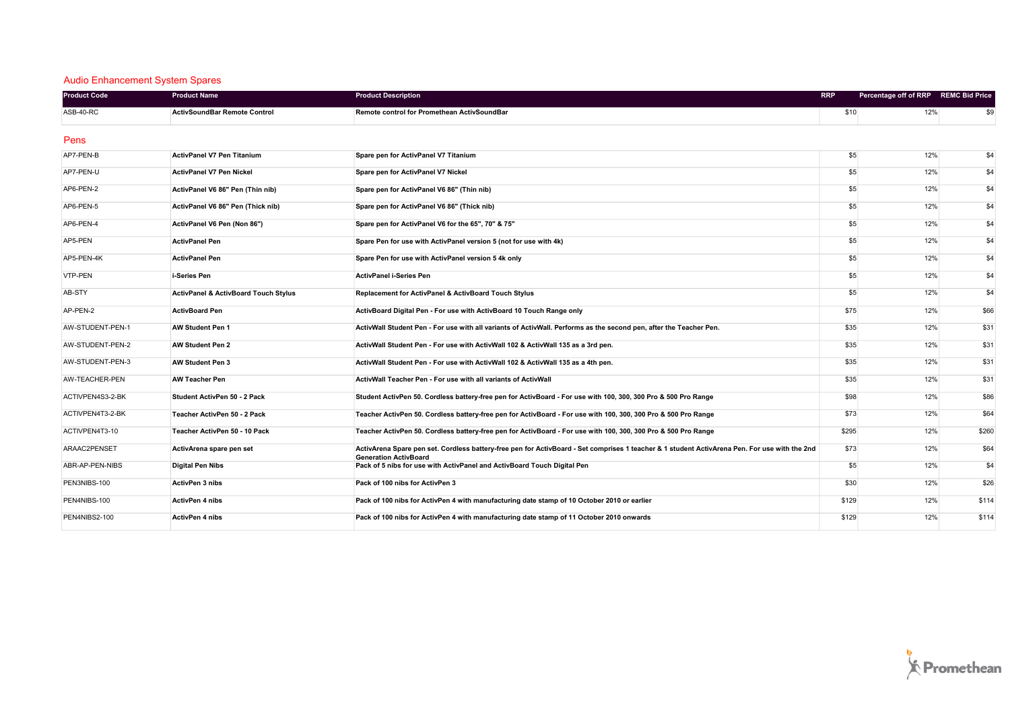### Audio Enhancement System Spares

| <b>Product Code</b> | <b>Product Name</b>                             | <b>Product Description</b>                                                                                                                                                    | <b>RRP</b> | Percentage off of RRP REMC Bid Price |       |
|---------------------|-------------------------------------------------|-------------------------------------------------------------------------------------------------------------------------------------------------------------------------------|------------|--------------------------------------|-------|
| ASB-40-RC           | <b>ActivSoundBar Remote Control</b>             | Remote control for Promethean ActivSoundBar                                                                                                                                   | \$10       | 12%                                  | \$9   |
| Pens                |                                                 |                                                                                                                                                                               |            |                                      |       |
| AP7-PEN-B           | <b>ActivPanel V7 Pen Titanium</b>               | Spare pen for ActivPanel V7 Titanium                                                                                                                                          | \$5        | 12%                                  | \$4   |
| AP7-PEN-U           | ActivPanel V7 Pen Nickel                        | Spare pen for ActivPanel V7 Nickel                                                                                                                                            | \$5        | 12%                                  | \$4   |
| AP6-PEN-2           | ActivPanel V6 86" Pen (Thin nib)                | Spare pen for ActivPanel V6 86" (Thin nib)                                                                                                                                    | \$5        | 12%                                  | \$4   |
| AP6-PEN-5           | ActivPanel V6 86" Pen (Thick nib)               | Spare pen for ActivPanel V6 86" (Thick nib)                                                                                                                                   | \$5        | 12%                                  | \$4   |
| AP6-PEN-4           | ActivPanel V6 Pen (Non 86")                     | Spare pen for ActivPanel V6 for the 65", 70" & 75"                                                                                                                            | \$5        | 12%                                  | \$4   |
| AP5-PEN             | <b>ActivPanel Pen</b>                           | Spare Pen for use with ActivPanel version 5 (not for use with 4k)                                                                                                             | \$5        | 12%                                  | \$4   |
| AP5-PEN-4K          | <b>ActivPanel Pen</b>                           | Spare Pen for use with ActivPanel version 5 4k only                                                                                                                           | \$5        | 12%                                  | \$4   |
| <b>VTP-PEN</b>      | i-Series Pen                                    | <b>ActivPanel i-Series Pen</b>                                                                                                                                                | \$5        | 12%                                  | \$4   |
| AB-STY              | <b>ActivPanel &amp; ActivBoard Touch Stylus</b> | Replacement for ActivPanel & ActivBoard Touch Stylus                                                                                                                          | \$5        | 12%                                  | \$4   |
| AP-PEN-2            | <b>ActivBoard Pen</b>                           | ActivBoard Digital Pen - For use with ActivBoard 10 Touch Range only                                                                                                          | \$75       | 12%                                  | \$66  |
| AW-STUDENT-PEN-1    | <b>AW Student Pen 1</b>                         | ActivWall Student Pen - For use with all variants of ActivWall. Performs as the second pen, after the Teacher Pen.                                                            | \$35       | 12%                                  | \$31  |
| AW-STUDENT-PEN-2    | <b>AW Student Pen 2</b>                         | ActivWall Student Pen - For use with ActivWall 102 & ActivWall 135 as a 3rd pen.                                                                                              | \$35       | 12%                                  | \$31  |
| AW-STUDENT-PEN-3    | AW Student Pen 3                                | ActivWall Student Pen - For use with ActivWall 102 & ActivWall 135 as a 4th pen.                                                                                              | \$35       | 12%                                  | \$31  |
| AW-TEACHER-PEN      | <b>AW Teacher Pen</b>                           | ActivWall Teacher Pen - For use with all variants of ActivWall                                                                                                                | \$35       | 12%                                  | \$31  |
| ACTIVPEN4S3-2-BK    | Student ActivPen 50 - 2 Pack                    | Student ActivPen 50. Cordless battery-free pen for ActivBoard - For use with 100, 300, 300 Pro & 500 Pro Range                                                                | \$98       | 12%                                  | \$86  |
| ACTIVPEN4T3-2-BK    | Teacher ActivPen 50 - 2 Pack                    | Teacher ActivPen 50. Cordless battery-free pen for ActivBoard - For use with 100, 300, 300 Pro & 500 Pro Range                                                                | \$73       | 12%                                  | \$64  |
| ACTIVPEN4T3-10      | Teacher ActivPen 50 - 10 Pack                   | Teacher ActivPen 50. Cordless battery-free pen for ActivBoard - For use with 100, 300, 300 Pro & 500 Pro Range                                                                | \$295      | 12%                                  | \$260 |
| ARAAC2PENSET        | ActivArena spare pen set                        | ActivArena Spare pen set. Cordless battery-free pen for ActivBoard - Set comprises 1 teacher & 1 student ActivArena Pen. For use with the 2nd<br><b>Generation ActivBoard</b> | \$73       | 12%                                  | \$64  |
| ABR-AP-PEN-NIBS     | <b>Digital Pen Nibs</b>                         | Pack of 5 nibs for use with ActivPanel and ActivBoard Touch Digital Pen                                                                                                       | \$5        | 12%                                  | \$4   |
| PEN3NIBS-100        | <b>ActivPen 3 nibs</b>                          | Pack of 100 nibs for ActivPen 3                                                                                                                                               | \$30       | 12%                                  | \$26  |
| PEN4NIBS-100        | <b>ActivPen 4 nibs</b>                          | Pack of 100 nibs for ActivPen 4 with manufacturing date stamp of 10 October 2010 or earlier                                                                                   | \$129      | 12%                                  | \$114 |
| PEN4NIBS2-100       | <b>ActivPen 4 nibs</b>                          | Pack of 100 nibs for ActivPen 4 with manufacturing date stamp of 11 October 2010 onwards                                                                                      | \$129      | 12%                                  | \$114 |